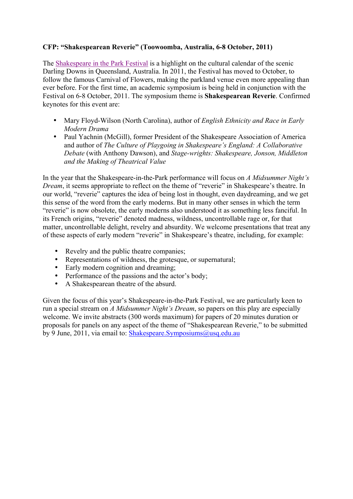### **CFP: "Shakespearean Reverie" (Toowoomba, Australia, 6-8 October, 2011)**

The Shakespeare in the Park Festival is a highlight on the cultural calendar of the scenic Darling Downs in Queensland, Australia. In 2011, the Festival has moved to October, to follow the famous Carnival of Flowers, making the parkland venue even more appealing than ever before. For the first time, an academic symposium is being held in conjunction with the Festival on 6-8 October, 2011. The symposium theme is **Shakespearean Reverie**. Confirmed keynotes for this event are:

- Mary Floyd-Wilson (North Carolina), author of *English Ethnicity and Race in Early Modern Drama*
- Paul Yachnin (McGill), former President of the Shakespeare Association of America and author of *The Culture of Playgoing in Shakespeare's England: A Collaborative Debate* (with Anthony Dawson), and *Stage-wrights: Shakespeare, Jonson, Middleton and the Making of Theatrical Value*

In the year that the Shakespeare-in-the-Park performance will focus on *A Midsummer Night's Dream*, it seems appropriate to reflect on the theme of "reverie" in Shakespeare's theatre. In our world, "reverie" captures the idea of being lost in thought, even daydreaming, and we get this sense of the word from the early moderns. But in many other senses in which the term "reverie" is now obsolete, the early moderns also understood it as something less fanciful. In its French origins, "reverie" denoted madness, wildness, uncontrollable rage or, for that matter, uncontrollable delight, revelry and absurdity. We welcome presentations that treat any of these aspects of early modern "reverie" in Shakespeare's theatre, including, for example:

- Revelry and the public theatre companies;
- Representations of wildness, the grotesque, or supernatural;
- Early modern cognition and dreaming;
- Performance of the passions and the actor's body;<br>• A Shakespearean theatre of the absurd
- A Shakespearean theatre of the absurd.

Given the focus of this year's Shakespeare-in-the-Park Festival, we are particularly keen to run a special stream on *A Midsummer Night's Dream*, so papers on this play are especially welcome. We invite abstracts (300 words maximum) for papers of 20 minutes duration or proposals for panels on any aspect of the theme of "Shakespearean Reverie," to be submitted by 9 June, 2011, via email to: Shakespeare.Symposiums@usq.edu.au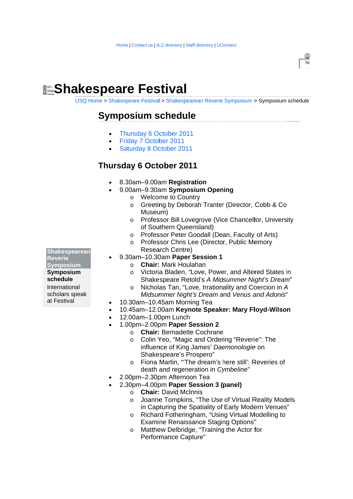# **Manus Shakespeare Festival**

USQ Home > Shakespeare Festival > Shakespearean Reverie Symposium > Symposium schedule

 $\overline{s_{\varepsilon}}$ 

# **Symposium schedule**

- Thursday 6 October 2011
- Friday 7 October 2011
- Saturday 8 October 2011

## **Thursday 6 October 2011**

- 8.30am-9.00am Registration
- 9.00am-9.30am Symposium Opening
	- o Welcome to Country
	- o Greeting by Deborah Tranter (Director, Cobb & Co Museum)
	- Professor Bill Lovegrove (Vice Chancellor, University  $\circ$ of Southern Queensland)
	- Professor Peter Goodall (Dean, Faculty of Arts)  $\Omega$
	- Professor Chris Lee (Director, Public Memory  $\circ$ Research Centre)
	- 9.30am-10.30am Paper Session 1
		- o Chair: Mark Houlahan
		- Victoria Bladen, "Love, Power, and Altered States in  $\Omega$ Shakespeare Retold's A Midsummer Night's Dream"
		- Nicholas Tan, "Love, Irrationality and Coercion in A  $\sim$ Midsummer Night's Dream and Venus and Adonis"
- 10.30am-10.45am Morning Tea
- 10.45am-12.00am Keynote Speaker: Mary Floyd-Wilson
- 12.00am-1.00pm Lunch
- 1.00pm-2.00pm Paper Session 2
	- o Chair: Bernadette Cochrane
	- Colin Yeo, "Magic and Ordering "Reverie": The  $\Omega$ influence of King James' Daemonologie on Shakespeare's Prospero"
	- o Fiona Martin, "The dream's here still': Reveries of death and regeneration in Cymbeline"
- 2.00pm-2.30pm Afternoon Tea
- 2.30pm-4.00pm Paper Session 3 (panel)
	- o Chair: David McInnis
	- Joanne Tompkins, "The Use of Virtual Reality Models  $\sim$ in Capturing the Spatiality of Early Modern Venues"
	- Richard Fotheringham, "Using Virtual Modelling to  $\circ$ **Examine Renaissance Staging Options"**
	- Matthew Delbridge, "Training the Actor for  $\Omega$ Performance Capture"

**Shakespearean Reverie Symposium** 

Symposium schedule International scholars speak at Festival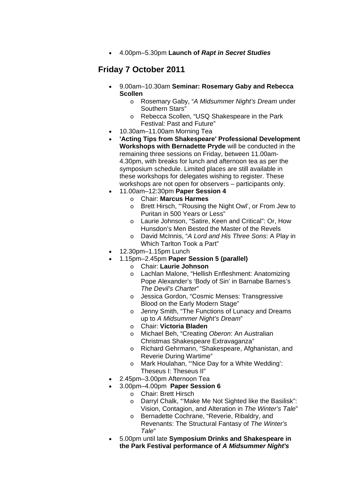• 4.00pm–5.30pm **Launch of** *Rapt in Secret Studies*

## **Friday 7 October 2011**

- 9.00am–10.30am **Seminar: Rosemary Gaby and Rebecca Scollen** 
	- o Rosemary Gaby, "*A Midsummer Night's Dream* under Southern Stars"
	- o Rebecca Scollen, "USQ Shakespeare in the Park Festival: Past and Future"
- 10.30am–11.00am Morning Tea
- **'Acting Tips from Shakespeare' Professional Development Workshops with Bernadette Pryde** will be conducted in the remaining three sessions on Friday, between 11.00am-4.30pm, with breaks for lunch and afternoon tea as per the symposium schedule. Limited places are still available in these workshops for delegates wishing to register. These workshops are not open for observers – participants only.
- 11.00am–12:30pm **Paper Session 4** 
	- o Chair: **Marcus Harmes**
	- o Brett Hirsch, "'Rousing the Night Owl', or From Jew to Puritan in 500 Years or Less"
	- o Laurie Johnson, "Satire, Keen and Critical": Or, How Hunsdon's Men Bested the Master of the Revels
	- o David McInnis, "*A Lord and His Three Sons*: A Play in Which Tarlton Took a Part"
- 12.30pm–1.15pm Lunch
- 1.15pm–2.45pm **Paper Session 5 (parallel)**
	- o Chair: **Laurie Johnson**
	- o Lachlan Malone, "Hellish Enfleshment: Anatomizing Pope Alexander's 'Body of Sin' in Barnabe Barnes's *The Devil's Charter*"
	- o Jessica Gordon, "Cosmic Menses: Transgressive Blood on the Early Modern Stage"
	- o Jenny Smith, "The Functions of Lunacy and Dreams up to *A Midsummer Night's Dream*"
	- o Chair: **Victoria Bladen**
	- o Michael Beh, "Creating *Oberon*: An Australian Christmas Shakespeare Extravaganza"
	- o Richard Gehrmann, "Shakespeare, Afghanistan, and Reverie During Wartime"
	- o Mark Houlahan, "'Nice Day for a White Wedding': Theseus I: Theseus II"
- 2.45pm–3.00pm Afternoon Tea
- 3.00pm–4.00pm **Paper Session 6**
	- o Chair: Brett Hirsch
	- o Darryl Chalk, "'Make Me Not Sighted like the Basilisk": Vision, Contagion, and Alteration in *The Winter's Tale*"
	- o Bernadette Cochrane, "Reverie, Ribaldry, and Revenants: The Structural Fantasy of *The Winter's Tale*"
- 5.00pm until late **Symposium Drinks and Shakespeare in the Park Festival performance of** *A Midsummer Night's*